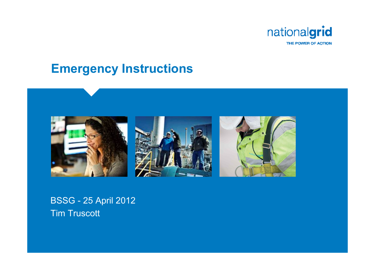

#### **Emergency Instructions**



#### BSSG - 25 April 2012 Tim Truscott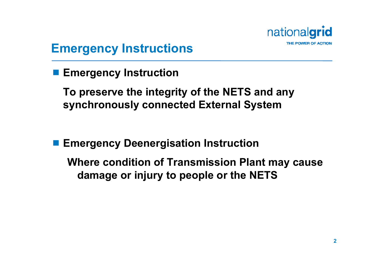

#### **Emergency Instructions**

**■ Emergency Instruction** 

**To preserve the integrity of the NETS and any synchronously connected External System**

**■ Emergency Deenergisation Instruction** 

**Where condition of Transmission Plant may cause damage or injury to people or the NETS**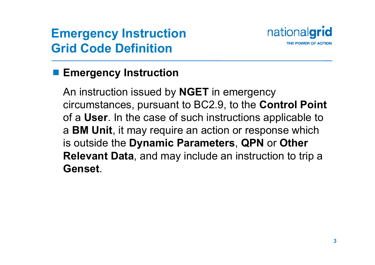### **Emergency Instruction Grid Code Definition**



#### **■ Emergency Instruction**

An instruction issued by **NGET** in emergency circumstances, pursuant to BC2.9, to the **Control Point**  of a **User**. In the case of such instructions applicable to <sup>a</sup>**BM Unit**, it may require an action or response which is outside the **Dynamic Parameters**, **QPN** or **Other Relevant Data**, and may include an instruction to trip a **Genset**.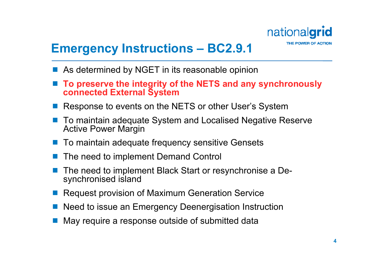

### **Emergency Instructions – BC2.9.1**

- $\mathbb{R}^n$ As determined by NGET in its reasonable opinion
- **To preserve the integrity of the NETS and any synchronously connected External System**
- $\mathbb{R}^3$ Response to events on the NETS or other User's System
- $\mathbb{R}^3$  To maintain adequate System and Localised Negative Reserve Active Power Margin
- $\mathbb{R}^3$ To maintain adequate frequency sensitive Gensets
- $\mathbb{R}^3$ The need to implement Demand Control
- in. The need to implement Black Start or resynchronise a Desynchronised island
- $\mathbb{R}^3$ Request provision of Maximum Generation Service
- in. Need to issue an Emergency Deenergisation Instruction
- $\mathbb{R}^3$ May require a response outside of submitted data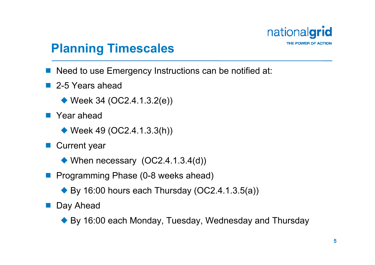

#### **Planning Timescales**

- Need to use Emergency Instructions can be notified at:
- 2-5 Years ahead
	- $\blacklozenge$  Week 34 (OC2.4.1.3.2(e))
- Year ahead
	- $\blacklozenge$  Week 49 (OC2.4.1.3.3(h))
- Current year
	- $\blacklozenge$  When necessary  $(OC2.4.1.3.4(d))$
- **Programming Phase (0-8 weeks ahead)** 
	- $\blacktriangleright$  By 16:00 hours each Thursday (OC2.4.1.3.5(a))
- Day Ahead
	- ◆ By 16:00 each Monday, Tuesday, Wednesday and Thursday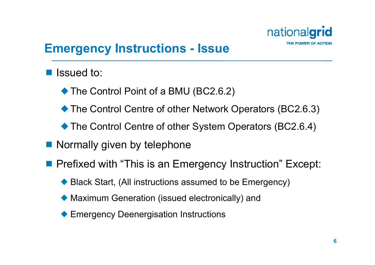

#### **Emergency Instructions - Issue**

- Issued to:
	- ◆ The Control Point of a BMU (BC2.6.2)
	- ◆ The Control Centre of other Network Operators (BC2.6.3)
	- The Control Centre of other System Operators (BC2.6.4)
- Normally given by telephone
- **Prefixed with "This is an Emergency Instruction" Except:** 
	- ◆ Black Start, (All instructions assumed to be Emergency)
	- ¡ Maximum Generation (issued electronically) and
	- ◆ Emergency Deenergisation Instructions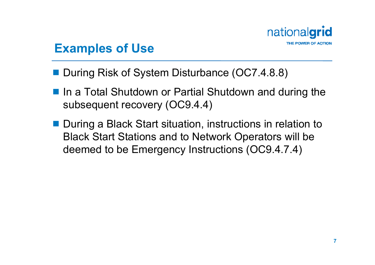

#### **Examples of Use**

- During Risk of System Disturbance (OC7.4.8.8)
- In a Total Shutdown or Partial Shutdown and during the subsequent recovery (OC9.4.4)
- During a Black Start situation, instructions in relation to Black Start Stations and to Network Operators will be deemed to be Emergency Instructions (OC9.4.7.4)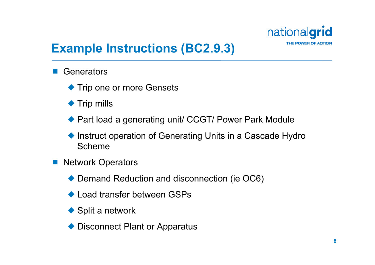

### **Example Instructions (BC2.9.3)**

- $\mathbb{R}^3$ **Generators** 
	- **Trip one or more Gensets**
	- ◆ Trip mills
	- ◆ Part load a generating unit/ CCGT/ Power Park Module
	- ◆ Instruct operation of Generating Units in a Cascade Hydro Scheme
- $\begin{bmatrix} 1 & 1 \\ 1 & 1 \end{bmatrix}$  Network Operators
	- ◆ Demand Reduction and disconnection (ie OC6)
	- ◆ Load transfer between GSPs
	- $\blacklozenge$  Split a network
	- ◆ Disconnect Plant or Apparatus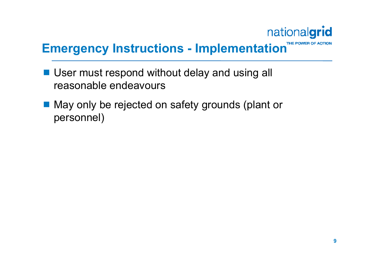## nationalgrid

## **Emergency Instructions - Implementation THE POWER OF A**

- User must respond without delay and using all reasonable endeavours
- May only be rejected on safety grounds (plant or personnel)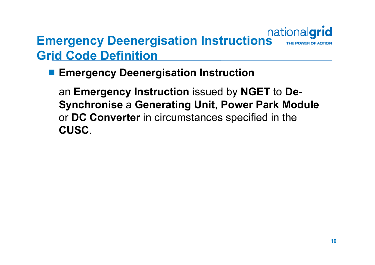# **Emergency Deenergisation Instructions** mationalgrid **Grid Code Definition**

#### **Emergency Deenergisation Instruction**

an **Emergency Instruction** issued by **NGET** to **De-Synchronise** a **Generating Unit**, **Power Park Module**  or **DC Converter** in circumstances specified in the **CUSC**.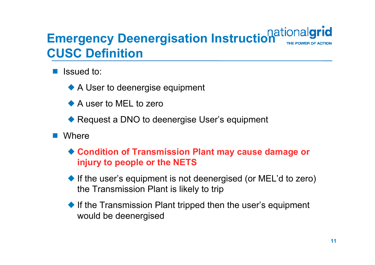## **Emergency Deenergisation Instruction**<br> **GUSS BERGER CUSC Definition**

- $\mathbb{R}^3$  Issued to:
	- ◆ A User to deenergise equipment
	- ◆ A user to MEL to zero
	- ◆ Request a DNO to deenergise User's equipment
- $\mathcal{L}(\mathcal{A})$ **Where** 
	- ◆ Condition of Transmission Plant may cause damage or **injury to people or the NETS**
	- ◆ If the user's equipment is not deenergised (or MEL'd to zero) the Transmission Plant is likely to trip
	- $\blacklozenge$  If the Transmission Plant tripped then the user's equipment would be deenergised